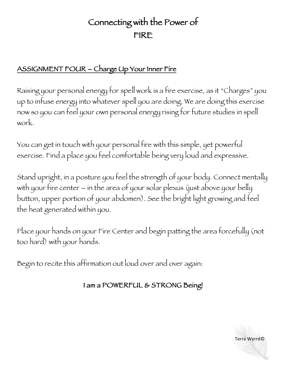# Connecting with the Power of FIRE

## ASSIGNMENT FOUR – Charge Up Your Inner Fire

Raising your personal energy for spell work is a fire exercise, as it "Charges" you up to infuse energy into whatever spell you are doing. We are doing this exercise now so you can feel your own personal energy rising for future studies in spell work.

You can get in touch with your personal fire with this simple, yet powerful exercise. Find a place you feel comfortable being very loud and expressive.

Stand upright, in a posture you feel the strength of your body. Connect mentally with your fire center – in the area of your solar plexus (just above your belly button, upper portion of your abdomen). See the bright light growing and feel the heat generated within you.

Place your hands on your Fire Center and begin patting the area forcefully (not too hard) with your hands.

Begin to recite this affirmation out loud over and over again:

#### I am a POWERFUL & STRONG Being!